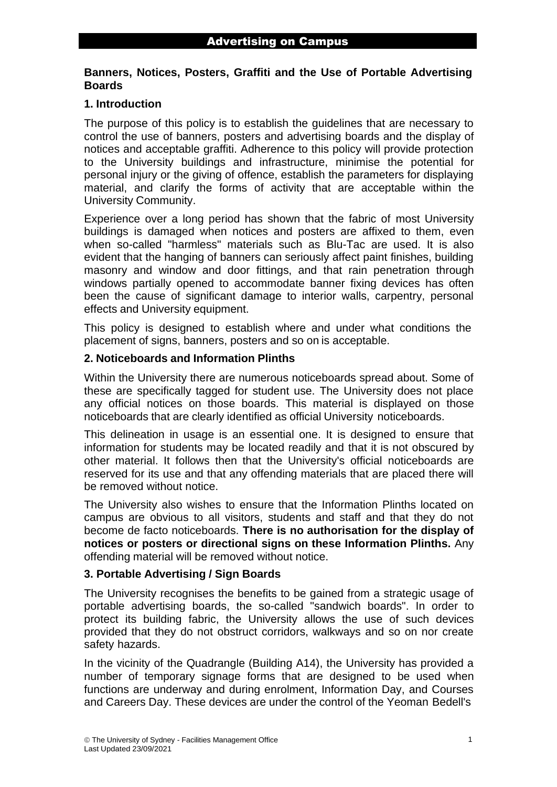# **Banners, Notices, Posters, Graffiti and the Use of Portable Advertising Boards**

# **1. Introduction**

The purpose of this policy is to establish the guidelines that are necessary to control the use of banners, posters and advertising boards and the display of notices and acceptable graffiti. Adherence to this policy will provide protection to the University buildings and infrastructure, minimise the potential for personal injury or the giving of offence, establish the parameters for displaying material, and clarify the forms of activity that are acceptable within the University Community.

Experience over a long period has shown that the fabric of most University buildings is damaged when notices and posters are affixed to them, even when so-called "harmless" materials such as Blu-Tac are used. It is also evident that the hanging of banners can seriously affect paint finishes, building masonry and window and door fittings, and that rain penetration through windows partially opened to accommodate banner fixing devices has often been the cause of significant damage to interior walls, carpentry, personal effects and University equipment.

This policy is designed to establish where and under what conditions the placement of signs, banners, posters and so on is acceptable.

### **2. Noticeboards and Information Plinths**

Within the University there are numerous noticeboards spread about. Some of these are specifically tagged for student use. The University does not place any official notices on those boards. This material is displayed on those noticeboards that are clearly identified as official University noticeboards.

This delineation in usage is an essential one. It is designed to ensure that information for students may be located readily and that it is not obscured by other material. It follows then that the University's official noticeboards are reserved for its use and that any offending materials that are placed there will be removed without notice.

The University also wishes to ensure that the Information Plinths located on campus are obvious to all visitors, students and staff and that they do not become de facto noticeboards. **There is no authorisation for the display of notices or posters or directional signs on these Information Plinths.** Any offending material will be removed without notice.

### **3. Portable Advertising / Sign Boards**

The University recognises the benefits to be gained from a strategic usage of portable advertising boards, the so-called "sandwich boards". In order to protect its building fabric, the University allows the use of such devices provided that they do not obstruct corridors, walkways and so on nor create safety hazards.

In the vicinity of the Quadrangle (Building A14), the University has provided a number of temporary signage forms that are designed to be used when functions are underway and during enrolment, Information Day, and Courses and Careers Day. These devices are under the control of the Yeoman Bedell's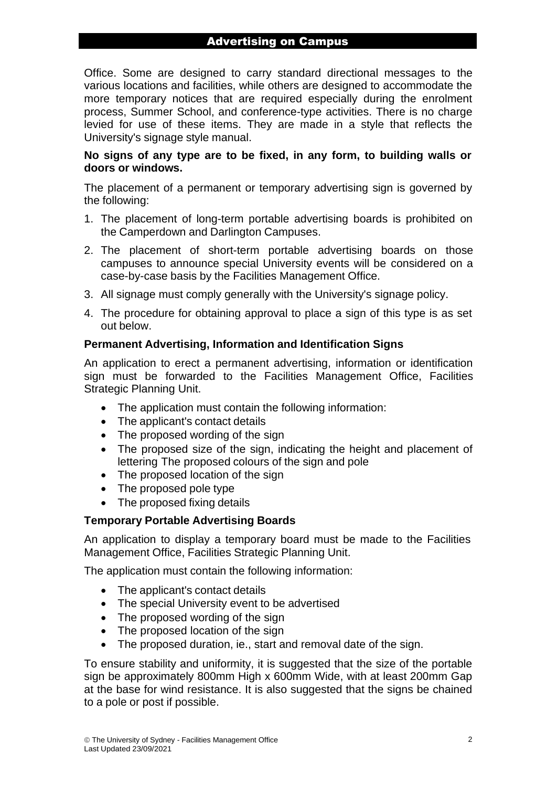# Advertising on Campus

Office. Some are designed to carry standard directional messages to the various locations and facilities, while others are designed to accommodate the more temporary notices that are required especially during the enrolment process, Summer School, and conference-type activities. There is no charge levied for use of these items. They are made in a style that reflects the University's signage style manual.

## **No signs of any type are to be fixed, in any form, to building walls or doors or windows.**

The placement of a permanent or temporary advertising sign is governed by the following:

- 1. The placement of long-term portable advertising boards is prohibited on the Camperdown and Darlington Campuses.
- 2. The placement of short-term portable advertising boards on those campuses to announce special University events will be considered on a case-by-case basis by the Facilities Management Office.
- 3. All signage must comply generally with the University's signage policy.
- 4. The procedure for obtaining approval to place a sign of this type is as set out below.

### **Permanent Advertising, Information and Identification Signs**

An application to erect a permanent advertising, information or identification sign must be forwarded to the Facilities Management Office, Facilities Strategic Planning Unit.

- The application must contain the following information:
- The applicant's contact details
- The proposed wording of the sign
- The proposed size of the sign, indicating the height and placement of lettering The proposed colours of the sign and pole
- The proposed location of the sign
- The proposed pole type
- The proposed fixing details

# **Temporary Portable Advertising Boards**

An application to display a temporary board must be made to the Facilities Management Office, Facilities Strategic Planning Unit.

The application must contain the following information:

- The applicant's contact details
- The special University event to be advertised
- The proposed wording of the sign
- The proposed location of the sign
- The proposed duration, ie., start and removal date of the sign.

To ensure stability and uniformity, it is suggested that the size of the portable sign be approximately 800mm High x 600mm Wide, with at least 200mm Gap at the base for wind resistance. It is also suggested that the signs be chained to a pole or post if possible.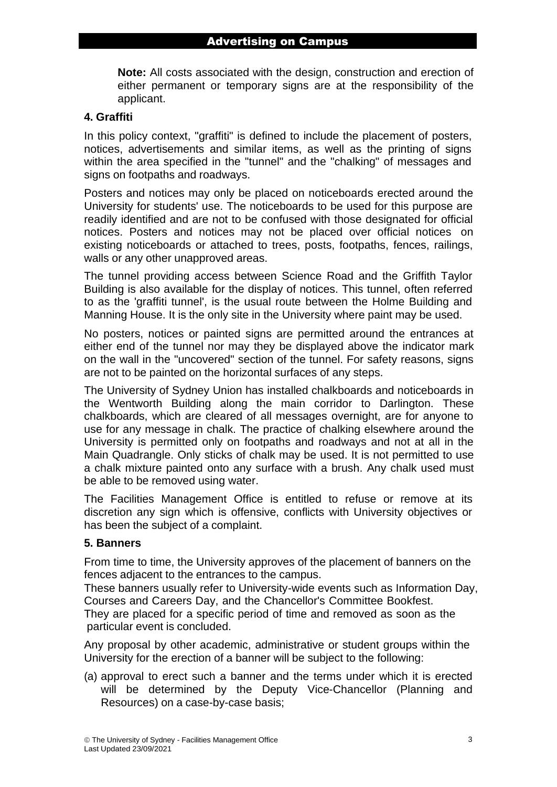**Note:** All costs associated with the design, construction and erection of either permanent or temporary signs are at the responsibility of the applicant.

## **4. Graffiti**

In this policy context, "graffiti" is defined to include the placement of posters, notices, advertisements and similar items, as well as the printing of signs within the area specified in the "tunnel" and the "chalking" of messages and signs on footpaths and roadways.

Posters and notices may only be placed on noticeboards erected around the University for students' use. The noticeboards to be used for this purpose are readily identified and are not to be confused with those designated for official notices. Posters and notices may not be placed over official notices on existing noticeboards or attached to trees, posts, footpaths, fences, railings, walls or any other unapproved areas.

The tunnel providing access between Science Road and the Griffith Taylor Building is also available for the display of notices. This tunnel, often referred to as the 'graffiti tunnel', is the usual route between the Holme Building and Manning House. It is the only site in the University where paint may be used.

No posters, notices or painted signs are permitted around the entrances at either end of the tunnel nor may they be displayed above the indicator mark on the wall in the "uncovered" section of the tunnel. For safety reasons, signs are not to be painted on the horizontal surfaces of any steps.

The University of Sydney Union has installed chalkboards and noticeboards in the Wentworth Building along the main corridor to Darlington. These chalkboards, which are cleared of all messages overnight, are for anyone to use for any message in chalk. The practice of chalking elsewhere around the University is permitted only on footpaths and roadways and not at all in the Main Quadrangle. Only sticks of chalk may be used. It is not permitted to use a chalk mixture painted onto any surface with a brush. Any chalk used must be able to be removed using water.

The Facilities Management Office is entitled to refuse or remove at its discretion any sign which is offensive, conflicts with University objectives or has been the subject of a complaint.

### **5. Banners**

From time to time, the University approves of the placement of banners on the fences adjacent to the entrances to the campus.

These banners usually refer to University-wide events such as Information Day, Courses and Careers Day, and the Chancellor's Committee Bookfest.

They are placed for a specific period of time and removed as soon as the particular event is concluded.

Any proposal by other academic, administrative or student groups within the University for the erection of a banner will be subject to the following:

(a) approval to erect such a banner and the terms under which it is erected will be determined by the Deputy Vice-Chancellor (Planning and Resources) on a case-by-case basis;